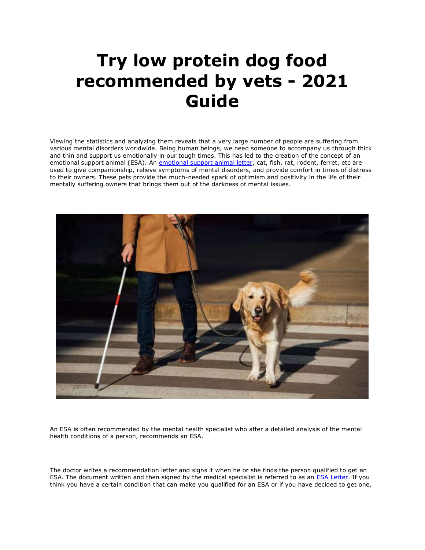## **Try low protein dog food recommended by vets - 2021 Guide**

Viewing the statistics and analyzing them reveals that a very large number of people are suffering from various mental disorders worldwide. Being human beings, we need someone to accompany us through thick and thin and support us emotionally in our tough times. This has led to the creation of the concept of an emotional support animal (ESA). An [emotional support animal letter,](https://myesaletter.net/) cat, fish, rat, rodent, ferret, etc are used to give companionship, relieve symptoms of mental disorders, and provide comfort in times of distress to their owners. These pets provide the much-needed spark of optimism and positivity in the life of their mentally suffering owners that brings them out of the darkness of mental issues.



An ESA is often recommended by the mental health specialist who after a detailed analysis of the mental health conditions of a person, recommends an ESA.

The doctor writes a recommendation letter and signs it when he or she finds the person qualified to get an ESA. The document written and then signed by the medical specialist is referred to as an [ESA Letter.](https://myesaletter.net/) If you think you have a certain condition that can make you qualified for an ESA or if you have decided to get one,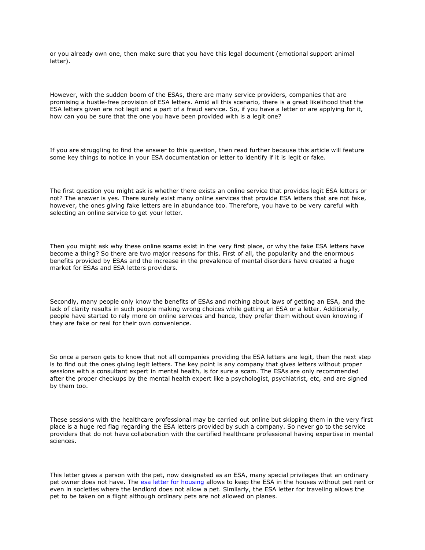or you already own one, then make sure that you have this legal document (emotional support animal letter).

However, with the sudden boom of the ESAs, there are many service providers, companies that are promising a hustle-free provision of ESA letters. Amid all this scenario, there is a great likelihood that the ESA letters given are not legit and a part of a fraud service. So, if you have a letter or are applying for it, how can you be sure that the one you have been provided with is a legit one?

If you are struggling to find the answer to this question, then read further because this article will feature some key things to notice in your ESA documentation or letter to identify if it is legit or fake.

The first question you might ask is whether there exists an online service that provides legit ESA letters or not? The answer is yes. There surely exist many online services that provide ESA letters that are not fake, however, the ones giving fake letters are in abundance too. Therefore, you have to be very careful with selecting an online service to get your letter.

Then you might ask why these online scams exist in the very first place, or why the fake ESA letters have become a thing? So there are two major reasons for this. First of all, the popularity and the enormous benefits provided by ESAs and the increase in the prevalence of mental disorders have created a huge market for ESAs and ESA letters providers.

Secondly, many people only know the benefits of ESAs and nothing about laws of getting an ESA, and the lack of clarity results in such people making wrong choices while getting an ESA or a letter. Additionally, people have started to rely more on online services and hence, they prefer them without even knowing if they are fake or real for their own convenience.

So once a person gets to know that not all companies providing the ESA letters are legit, then the next step is to find out the ones giving legit letters. The key point is any company that gives letters without proper sessions with a consultant expert in mental health, is for sure a scam. The ESAs are only recommended after the proper checkups by the mental health expert like a psychologist, psychiatrist, etc, and are signed by them too.

These sessions with the healthcare professional may be carried out online but skipping them in the very first place is a huge red flag regarding the ESA letters provided by such a company. So never go to the service providers that do not have collaboration with the certified healthcare professional having expertise in mental sciences.

This letter gives a person with the pet, now designated as an ESA, many special privileges that an ordinary pet owner does not have. The [esa letter for housing](https://www.realesaletter.com/sample-esa-letter) allows to keep the ESA in the houses without pet rent or even in societies where the landlord does not allow a pet. Similarly, the ESA letter for traveling allows the pet to be taken on a flight although ordinary pets are not allowed on planes.